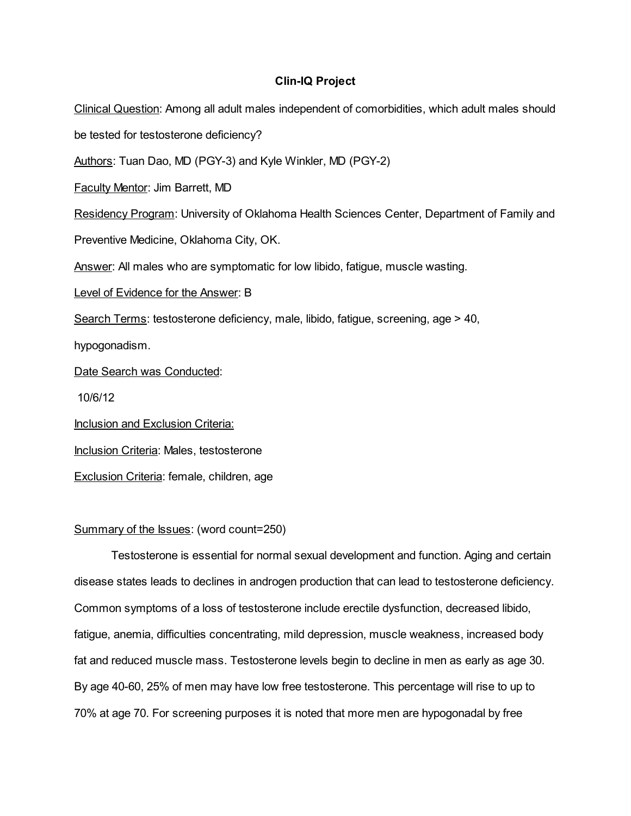# Clin-IQ Project

Clinical Question: Among all adult males independent of comorbidities, which adult males should be tested for testosterone deficiency? Authors: Tuan Dao, MD (PGY-3) and Kyle Winkler, MD (PGY-2) Faculty Mentor: Jim Barrett, MD Residency Program: University of Oklahoma Health Sciences Center, Department of Family and Preventive Medicine, Oklahoma City, OK. Answer: All males who are symptomatic for low libido, fatigue, muscle wasting. Level of Evidence for the Answer: B Search Terms: testosterone deficiency, male, libido, fatigue, screening, age > 40, hypogonadism. Date Search was Conducted: 10/6/12 Inclusion and Exclusion Criteria: Inclusion Criteria: Males, testosterone Exclusion Criteria: female, children, age

## Summary of the Issues: (word count=250)

Testosterone is essential for normal sexual development and function. Aging and certain disease states leads to declines in androgen production that can lead to testosterone deficiency. Common symptoms of a loss of testosterone include erectile dysfunction, decreased libido, fatigue, anemia, difficulties concentrating, mild depression, muscle weakness, increased body fat and reduced muscle mass. Testosterone levels begin to decline in men as early as age 30. By age 40-60, 25% of men may have low free testosterone. This percentage will rise to up to 70% at age 70. For screening purposes it is noted that more men are hypogonadal by free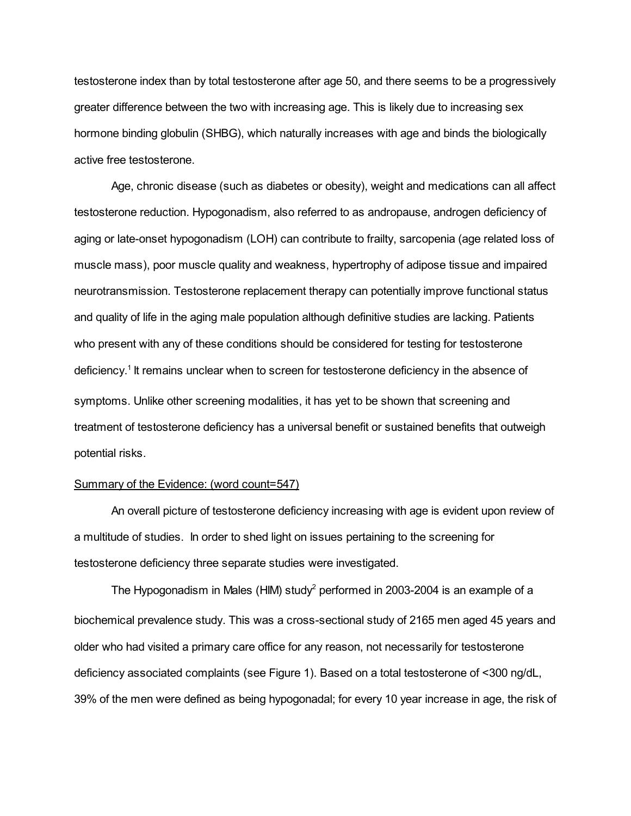testosterone index than by total testosterone after age 50, and there seems to be a progressively greater difference between the two with increasing age. This is likely due to increasing sex hormone binding globulin (SHBG), which naturally increases with age and binds the biologically active free testosterone.

Age, chronic disease (such as diabetes or obesity), weight and medications can all affect testosterone reduction. Hypogonadism, also referred to as andropause, androgen deficiency of aging or late-onset hypogonadism (LOH) can contribute to frailty, sarcopenia (age related loss of muscle mass), poor muscle quality and weakness, hypertrophy of adipose tissue and impaired neurotransmission. Testosterone replacement therapy can potentially improve functional status and quality of life in the aging male population although definitive studies are lacking. Patients who present with any of these conditions should be considered for testing for testosterone deficiency.<sup>1</sup> It remains unclear when to screen for testosterone deficiency in the absence of symptoms. Unlike other screening modalities, it has yet to be shown that screening and treatment of testosterone deficiency has a universal benefit or sustained benefits that outweigh potential risks.

### Summary of the Evidence: (word count=547)

An overall picture of testosterone deficiency increasing with age is evident upon review of a multitude of studies. In order to shed light on issues pertaining to the screening for testosterone deficiency three separate studies were investigated.

The Hypogonadism in Males (HIM) study<sup>2</sup> performed in 2003-2004 is an example of a biochemical prevalence study. This was a cross-sectional study of 2165 men aged 45 years and older who had visited a primary care office for any reason, not necessarily for testosterone deficiency associated complaints (see Figure 1). Based on a total testosterone of <300 ng/dL, 39% of the men were defined as being hypogonadal; for every 10 year increase in age, the risk of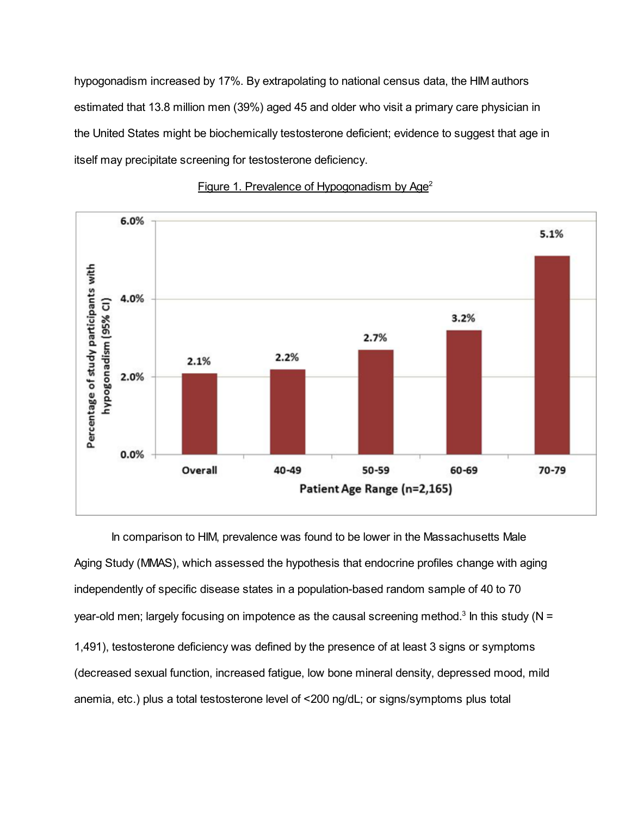hypogonadism increased by 17%. By extrapolating to national census data, the HIM authors estimated that 13.8 million men (39%) aged 45 and older who visit a primary care physician in the United States might be biochemically testosterone deficient; evidence to suggest that age in itself may precipitate screening for testosterone deficiency.



## Figure 1. Prevalence of Hypogonadism by Age<sup>2</sup>

In comparison to HIM, prevalence was found to be lower in the Massachusetts Male Aging Study (MMAS), which assessed the hypothesis that endocrine profiles change with aging independently of specific disease states in a population-based random sample of 40 to 70 year-old men; largely focusing on impotence as the causal screening method.<sup>3</sup> In this study (N = 1,491), testosterone deficiency was defined by the presence of at least 3 signs or symptoms (decreased sexual function, increased fatigue, low bone mineral density, depressed mood, mild anemia, etc.) plus a total testosterone level of <200 ng/dL; or signs/symptoms plus total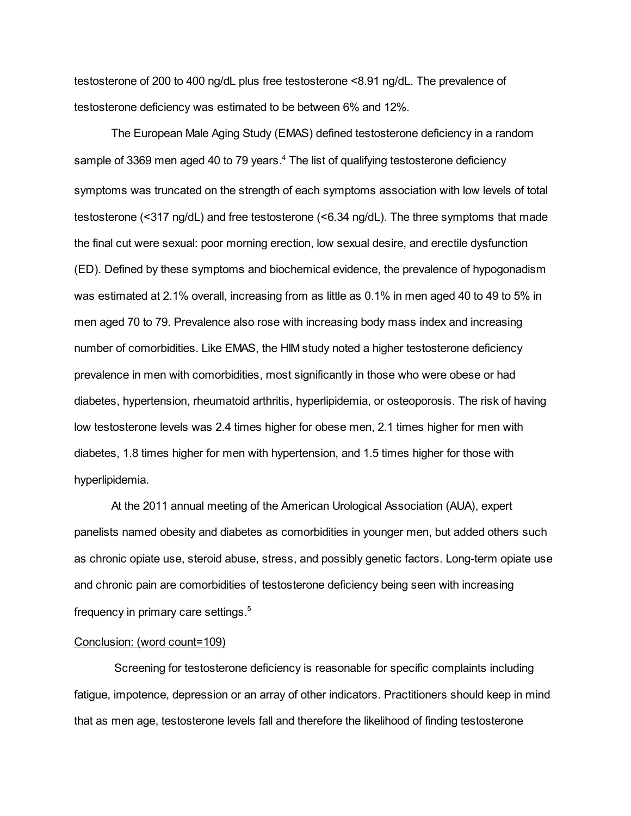testosterone of 200 to 400 ng/dL plus free testosterone <8.91 ng/dL. The prevalence of testosterone deficiency was estimated to be between 6% and 12%.

The European Male Aging Study (EMAS) defined testosterone deficiency in a random sample of 3369 men aged 40 to 79 years.<sup>4</sup> The list of qualifying testosterone deficiency symptoms was truncated on the strength of each symptoms association with low levels of total testosterone (<317 ng/dL) and free testosterone (<6.34 ng/dL). The three symptoms that made the final cut were sexual: poor morning erection, low sexual desire, and erectile dysfunction (ED). Defined by these symptoms and biochemical evidence, the prevalence of hypogonadism was estimated at 2.1% overall, increasing from as little as 0.1% in men aged 40 to 49 to 5% in men aged 70 to 79. Prevalence also rose with increasing body mass index and increasing number of comorbidities. Like EMAS, the HIM study noted a higher testosterone deficiency prevalence in men with comorbidities, most significantly in those who were obese or had diabetes, hypertension, rheumatoid arthritis, hyperlipidemia, or osteoporosis. The risk of having low testosterone levels was 2.4 times higher for obese men, 2.1 times higher for men with diabetes, 1.8 times higher for men with hypertension, and 1.5 times higher for those with hyperlipidemia.

At the 2011 annual meeting of the American Urological Association (AUA), expert panelists named obesity and diabetes as comorbidities in younger men, but added others such as chronic opiate use, steroid abuse, stress, and possibly genetic factors. Long-term opiate use and chronic pain are comorbidities of testosterone deficiency being seen with increasing frequency in primary care settings. 5

#### Conclusion: (word count=109)

Screening for testosterone deficiency is reasonable for specific complaints including fatigue, impotence, depression or an array of other indicators. Practitioners should keep in mind that as men age, testosterone levels fall and therefore the likelihood of finding testosterone